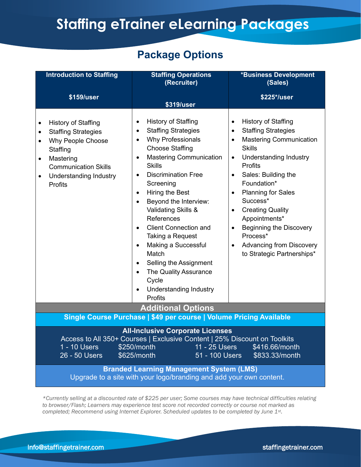# **Staffing eTrainer eLearning Packages**

# **Package Options**

| <b>Introduction to Staffing</b>                                                                                                                                                                                                                                                                                                                                                      | <b>Staffing Operations</b><br>(Recruiter)                                                                                                                                                                                                                                                                                                                                                                                                                                                                                                                                                                                              | <b>*Business Development</b><br>(Sales)                                                                                                                                                                                                                                                                                                                                                                                                                                                                                |
|--------------------------------------------------------------------------------------------------------------------------------------------------------------------------------------------------------------------------------------------------------------------------------------------------------------------------------------------------------------------------------------|----------------------------------------------------------------------------------------------------------------------------------------------------------------------------------------------------------------------------------------------------------------------------------------------------------------------------------------------------------------------------------------------------------------------------------------------------------------------------------------------------------------------------------------------------------------------------------------------------------------------------------------|------------------------------------------------------------------------------------------------------------------------------------------------------------------------------------------------------------------------------------------------------------------------------------------------------------------------------------------------------------------------------------------------------------------------------------------------------------------------------------------------------------------------|
| \$159/user                                                                                                                                                                                                                                                                                                                                                                           | \$319/user                                                                                                                                                                                                                                                                                                                                                                                                                                                                                                                                                                                                                             | \$225*/user                                                                                                                                                                                                                                                                                                                                                                                                                                                                                                            |
| History of Staffing<br><b>Staffing Strategies</b><br>Why People Choose<br>$\bullet$<br>Staffing<br>Mastering<br>$\bullet$<br><b>Communication Skills</b><br><b>Understanding Industry</b><br>Profits                                                                                                                                                                                 | <b>History of Staffing</b><br>٠<br><b>Staffing Strategies</b><br>$\bullet$<br>Why Professionals<br>$\bullet$<br><b>Choose Staffing</b><br><b>Mastering Communication</b><br>$\bullet$<br><b>Skills</b><br><b>Discrimination Free</b><br>$\bullet$<br>Screening<br>Hiring the Best<br>$\bullet$<br>Beyond the Interview:<br>$\bullet$<br>Validating Skills &<br>References<br><b>Client Connection and</b><br>$\bullet$<br>Taking a Request<br>Making a Successful<br>$\bullet$<br>Match<br>Selling the Assignment<br>$\bullet$<br>The Quality Assurance<br>$\bullet$<br>Cycle<br><b>Understanding Industry</b><br>$\bullet$<br>Profits | <b>History of Staffing</b><br>$\bullet$<br><b>Staffing Strategies</b><br>$\bullet$<br><b>Mastering Communication</b><br>$\bullet$<br><b>Skills</b><br><b>Understanding Industry</b><br>$\bullet$<br>Profits<br>Sales: Building the<br>$\bullet$<br>Foundation*<br><b>Planning for Sales</b><br>$\bullet$<br>Success*<br><b>Creating Quality</b><br>$\bullet$<br>Appointments*<br><b>Beginning the Discovery</b><br>$\bullet$<br>Process*<br><b>Advancing from Discovery</b><br>$\bullet$<br>to Strategic Partnerships* |
| <b>Additional Options</b>                                                                                                                                                                                                                                                                                                                                                            |                                                                                                                                                                                                                                                                                                                                                                                                                                                                                                                                                                                                                                        |                                                                                                                                                                                                                                                                                                                                                                                                                                                                                                                        |
| Single Course Purchase   \$49 per course   Volume Pricing Available                                                                                                                                                                                                                                                                                                                  |                                                                                                                                                                                                                                                                                                                                                                                                                                                                                                                                                                                                                                        |                                                                                                                                                                                                                                                                                                                                                                                                                                                                                                                        |
| <b>All-Inclusive Corporate Licenses</b><br>Access to All 350+ Courses   Exclusive Content   25% Discount on Toolkits<br>\$250/month<br>11 - 25 Users<br>1 - 10 Users<br>\$416.66/month<br>26 - 50 Users<br>\$625/month<br>51 - 100 Users<br>\$833.33/month<br><b>Branded Learning Management System (LMS)</b><br>Upgrade to a site with your logo/branding and add your own content. |                                                                                                                                                                                                                                                                                                                                                                                                                                                                                                                                                                                                                                        |                                                                                                                                                                                                                                                                                                                                                                                                                                                                                                                        |

*\*Currently selling at a discounted rate of \$225 per user; Some courses may have technical difficulties relating to browser/Flash; Learners may experience test score not recorded correctly or course not marked as completed; Recommend using Internet Explorer. Scheduled updates to be completed by June 1st .*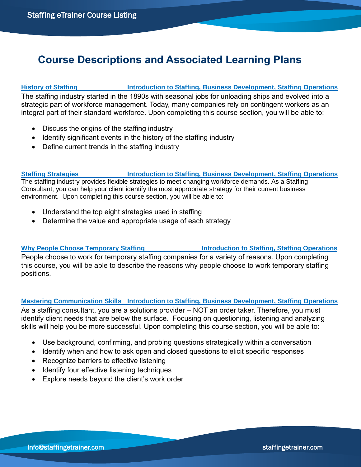# **Course Descriptions and Associated Learning Plans**

**History of Staffing Introduction to Staffing, Business Development, Staffing Operations** The staffing industry started in the 1890s with seasonal jobs for unloading ships and evolved into a strategic part of workforce management. Today, many companies rely on contingent workers as an integral part of their standard workforce. Upon completing this course section, you will be able to:

- Discuss the origins of the staffing industry
- Identify significant events in the history of the staffing industry
- Define current trends in the staffing industry

### **Staffing Strategies Introduction to Staffing, Business Development, Staffing Operations**

The staffing industry provides flexible strategies to meet changing workforce demands. As a Staffing Consultant, you can help your client identify the most appropriate strategy for their current business environment. Upon completing this course section, you will be able to:

- Understand the top eight strategies used in staffing
- Determine the value and appropriate usage of each strategy

**Why People Choose Temporary Staffing Introduction to Staffing, Staffing Operations** People choose to work for temporary staffing companies for a variety of reasons. Upon completing this course, you will be able to describe the reasons why people choose to work temporary staffing positions.

### **Mastering Communication Skills Introduction to Staffing, Business Development, Staffing Operations**

As a staffing consultant, you are a solutions provider – NOT an order taker. Therefore, you must identify client needs that are below the surface. Focusing on questioning, listening and analyzing skills will help you be more successful. Upon completing this course section, you will be able to:

- Use background, confirming, and probing questions strategically within a conversation
- Identify when and how to ask open and closed questions to elicit specific responses
- Recognize barriers to effective listening
- Identify four effective listening techniques
- Explore needs beyond the client's work order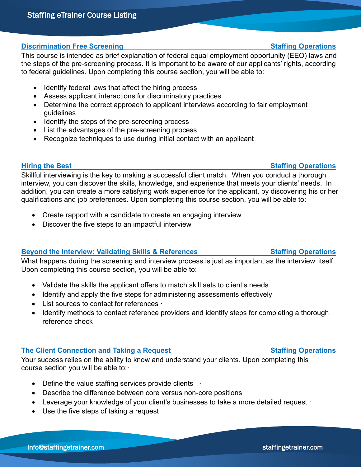### **Discrimination Free Screening Staffing Operations**

This course is intended as brief explanation of federal equal employment opportunity (EEO) laws and the steps of the pre-screening process. It is important to be aware of our applicants' rights, according to federal guidelines. Upon completing this course section, you will be able to:

- Identify federal laws that affect the hiring process
- Assess applicant interactions for discriminatory practices
- Determine the correct approach to applicant interviews according to fair employment guidelines
- Identify the steps of the pre-screening process
- List the advantages of the pre-screening process
- Recognize techniques to use during initial contact with an applicant

Skillful interviewing is the key to making a successful client match. When you conduct a thorough interview, you can discover the skills, knowledge, and experience that meets your clients' needs. In addition, you can create a more satisfying work experience for the applicant, by discovering his or her qualifications and job preferences. Upon completing this course section, you will be able to:

- Create rapport with a candidate to create an engaging interview
- Discover the five steps to an impactful interview

### **Beyond the Interview: Validating Skills & References Staffing Operations**

What happens during the screening and interview process is just as important as the interview itself. Upon completing this course section, you will be able to:

- Validate the skills the applicant offers to match skill sets to client's needs
- Identify and apply the five steps for administering assessments effectively
- List sources to contact for references ·
- Identify methods to contact reference providers and identify steps for completing a thorough reference check

### **The Client Connection and Taking a Request Staffing Operations**

Your success relies on the ability to know and understand your clients. Upon completing this course section you will be able to:·

- Define the value staffing services provide clients
- Describe the difference between core versus non-core positions
- Leverage your knowledge of your client's businesses to take a more detailed request
- Use the five steps of taking a request

### **Hiring the Best Staffing Operations**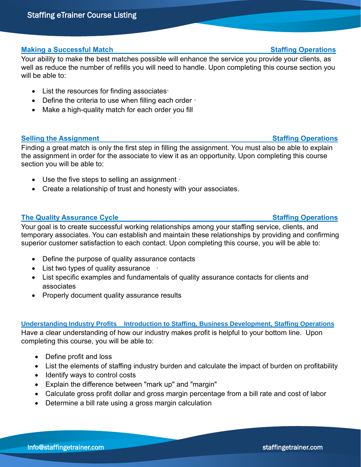Staffing eTrainer Course Listing

# **Making a Successful Match Staffing Operations**

Your ability to make the best matches possible will enhance the service you provide your clients, as well as reduce the number of refills you will need to handle. Upon completing this course section you will be able to:

- List the resources for finding associates •
- Define the criteria to use when filling each order  $\cdot$
- Make a high-quality match for each order you fill

### **Selling the Assignment Community Community Community Community Community Community Community Community Community**

Finding a great match is only the first step in filling the assignment. You must also be able to explain the assignment in order for the associate to view it as an opportunity. Upon completing this course section you will be able to:

- Use the five steps to selling an assignment ·
- Create a relationship of trust and honesty with your associates.

## **The Quality Assurance Cycle Staffing Operations** Staffing Operations

Your goal is to create successful working relationships among your staffing service, clients, and temporary associates. You can establish and maintain these relationships by providing and confirming superior customer satisfaction to each contact. Upon completing this course, you will be able to:

- Define the purpose of quality assurance contacts
- List two types of quality assurance
- List specific examples and fundamentals of quality assurance contacts for clients and associates
- Properly document quality assurance results

### **Understanding Industry Profits Introduction to Staffing, Business Development, Staffing Operations**

Have a clear understanding of how our industry makes profit is helpful to your bottom line. Upon completing this course, you will be able to:

- Define profit and loss
- List the elements of staffing industry burden and calculate the impact of burden on profitability
- Identify ways to control costs
- Explain the difference between "mark up" and "margin"
- Calculate gross profit dollar and gross margin percentage from a bill rate and cost of labor
- Determine a bill rate using a gross margin calculation